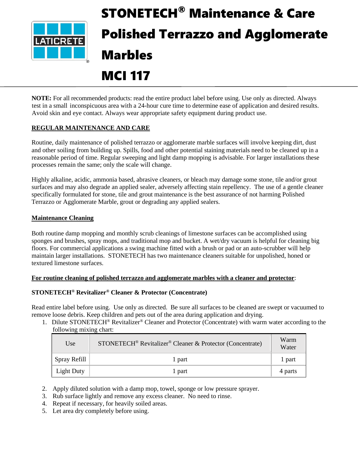

# STONETECH® Maintenance & Care Polished Terrazzo and Agglomerate Marbles

# MCI 117

**NOTE:** For all recommended products: read the entire product label before using. Use only as directed. Always test in a small inconspicuous area with a 24-hour cure time to determine ease of application and desired results. Avoid skin and eye contact. Always wear appropriate safety equipment during product use.

# **REGULAR MAINTENANCE AND CARE**

Routine, daily maintenance of polished terrazzo or agglomerate marble surfaces will involve keeping dirt, dust and other soiling from building up. Spills, food and other potential staining materials need to be cleaned up in a reasonable period of time. Regular sweeping and light damp mopping is advisable. For larger installations these processes remain the same; only the scale will change.

Highly alkaline, acidic, ammonia based, abrasive cleaners, or bleach may damage some stone, tile and/or grout surfaces and may also degrade an applied sealer, adversely affecting stain repellency. The use of a gentle cleaner specifically formulated for stone, tile and grout maintenance is the best assurance of not harming Polished Terrazzo or Agglomerate Marble, grout or degrading any applied sealers.

# **Maintenance Cleaning**

Both routine damp mopping and monthly scrub cleanings of limestone surfaces can be accomplished using sponges and brushes, spray mops, and traditional mop and bucket. A wet/dry vacuum is helpful for cleaning big floors. For commercial applications a swing machine fitted with a brush or pad or an auto-scrubber will help maintain larger installations. STONETECH has two maintenance cleaners suitable for unpolished, honed or textured limestone surfaces.

# **For routine cleaning of polished terrazzo and agglomerate marbles with a cleaner and protector**:

# **STONETECH® Revitalizer® Cleaner & Protector (Concentrate)**

Read entire label before using. Use only as directed. Be sure all surfaces to be cleaned are swept or vacuumed to remove loose debris. Keep children and pets out of the area during application and drying.

1. Dilute STONETECH® Revitalizer® Cleaner and Protector (Concentrate) with warm water according to the following mixing chart:

| Use               | STONETECH <sup>®</sup> Revitalizer <sup>®</sup> Cleaner & Protector (Concentrate) | Warm<br>Water |
|-------------------|-----------------------------------------------------------------------------------|---------------|
| Spray Refill      | 1 part                                                                            | 1 part        |
| <b>Light Duty</b> | 1 part                                                                            | 4 parts       |

- 2. Apply diluted solution with a damp mop, towel, sponge or low pressure sprayer.
- 3. Rub surface lightly and remove any excess cleaner. No need to rinse.
- 4. Repeat if necessary, for heavily soiled areas.
- 5. Let area dry completely before using.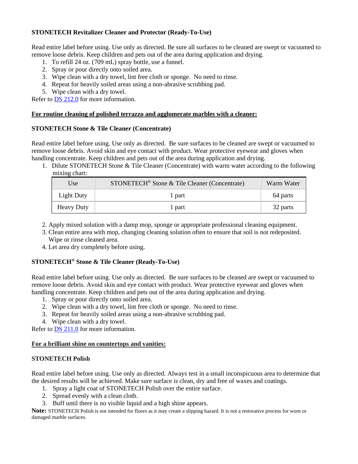# **STONETECH Revitalizer Cleaner and Protector (Ready-To-Use)**

Read entire label before using. Use only as directed. Be sure all surfaces to be cleaned are swept or vacuumed to remove loose debris. Keep children and pets out of the area during application and drying.

- 1. To refill 24 oz. (709 mL) spray bottle, use a funnel.
- 2. Spray or pour directly onto soiled area.
- 3. Wipe clean with a dry towel, lint free cloth or sponge. No need to rinse.
- 4. Repeat for heavily soiled areas using a non-abrasive scrubbing pad.
- 5. Wipe clean with a dry towel.

Refer to **DS 212.0** for more information.

#### **For routine cleaning of polished terrazzo and agglomerate marbles with a cleaner:**

#### **STONETECH Stone & Tile Cleaner (Concentrate)**

Read entire label before using. Use only as directed. Be sure surfaces to be cleaned are swept or vacuumed to remove loose debris. Avoid skin and eye contact with product. Wear protective eyewear and gloves when handling concentrate. Keep children and pets out of the area during application and drying.

1. Dilute STONETECH Stone & Tile Cleaner (Concentrate) with warm water according to the following mixing chart:

| Use               | STONETECH <sup>®</sup> Stone & Tile Cleaner (Concentrate) | Warm Water |
|-------------------|-----------------------------------------------------------|------------|
| Light Duty        | 1 part                                                    | 64 parts   |
| <b>Heavy Duty</b> | 1 part                                                    | 32 parts   |

- 2. Apply mixed solution with a damp mop, sponge or appropriate professional cleaning equipment.
- 3. Clean entire area with mop, changing cleaning solution often to ensure that soil is not redeposited. Wipe or rinse cleaned area.
- 4. Let area dry completely before using.

# **STONETECH® Stone & Tile Cleaner (Ready-To-Use)**

Read entire label before using. Use only as directed. Be sure surfaces to be cleaned are swept or vacuumed to remove loose debris. Avoid skin and eye contact with product. Wear protective eyewear and gloves when handling concentrate. Keep children and pets out of the area during application and drying.

- 1. Spray or pour directly onto soiled area.
- 2. Wipe clean with a dry towel, lint free cloth or sponge. No need to rinse.
- 3. Repeat for heavily soiled areas using a non-abrasive scrubbing pad.
- 4. Wipe clean with a dry towel.

Refer to [DS 211.0](https://cdn.laticrete.com/~/media/product-documents/product-data-sheets/ds-211.ashx) for more information.

#### **For a brilliant shine on countertops and vanities:**

#### **STONETECH Polish**

Read entire label before using. Use only as directed. Always test in a small inconspicuous area to determine that the desired results will be achieved. Make sure surface is clean, dry and free of waxes and coatings.

- 1. Spray a light coat of STONETECH Polish over the entire surface.
- 2. Spread evenly with a clean cloth.
- 3. Buff until there is no visible liquid and a high shine appears.

**Note:** STONETECH Polish is not intended for floors as it may create a slipping hazard. It is not a restorative process for worn or damaged marble surfaces.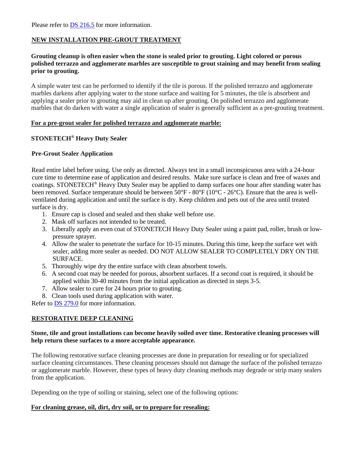# **NEW INSTALLATION PRE-GROUT TREATMENT**

#### **Grouting cleanup is often easier when the stone is sealed prior to grouting. Light colored or porous polished terrazzo and agglomerate marbles are susceptible to grout staining and may benefit from sealing prior to grouting.**

A simple water test can be performed to identify if the tile is porous. If the polished terrazzo and agglomerate marbles darkens after applying water to the stone surface and waiting for 5 minutes, the tile is absorbent and applying a sealer prior to grouting may aid in clean up after grouting. On polished terrazzo and agglomerate marbles that do darken with water a single application of sealer is generally sufficient as a pre-grouting treatment.

#### **For a pre-grout sealer for polished terrazzo and agglomerate marble:**

# **STONETECH® Heavy Duty Sealer**

#### **Pre-Grout Sealer Application**

Read entire label before using. Use only as directed. Always test in a small inconspicuous area with a 24-hour cure time to determine ease of application and desired results. Make sure surface is clean and free of waxes and coatings. STONETECH® Heavy Duty Sealer may be applied to damp surfaces one hour after standing water has been removed. Surface temperature should be between 50°F - 80°F (10°C - 26°C). Ensure that the area is wellventilated during application and until the surface is dry. Keep children and pets out of the area until treated surface is dry.

- 1. Ensure cap is closed and sealed and then shake well before use.
- 2. Mask off surfaces not intended to be treated.
- 3. Liberally apply an even coat of STONETECH Heavy Duty Sealer using a paint pad, roller, brush or lowpressure sprayer.
- 4. Allow the sealer to penetrate the surface for 10-15 minutes. During this time, keep the surface wet with sealer, adding more sealer as needed. DO NOT ALLOW SEALER TO COMPLETELY DRY ON THE SURFACE.
- 5. Thoroughly wipe dry the entire surface with clean absorbent towels.
- 6. A second coat may be needed for porous, absorbent surfaces. If a second coat is required, it should be applied within 30-40 minutes from the initial application as directed in steps 3-5.
- 7. Allow sealer to cure for 24 hours prior to grouting.
- 8. Clean tools used during application with water.

Refer to [DS 279.0](https://cdn.laticrete.com/~/media/product-documents/product-data-sheets/ds-279.ashx) for more information.

#### **RESTORATIVE DEEP CLEANING**

#### **Stone, tile and grout installations can become heavily soiled over time. Restorative cleaning processes will help return these surfaces to a more acceptable appearance.**

The following restorative surface cleaning processes are done in preparation for resealing or for specialized surface cleaning circumstances. These cleaning processes should not damage the surface of the polished terrazzo or agglomerate marble. However, these types of heavy duty cleaning methods may degrade or strip many sealers from the application.

Depending on the type of soiling or staining, select one of the following options:

#### **For cleaning grease, oil, dirt, dry soil, or to prepare for resealing:**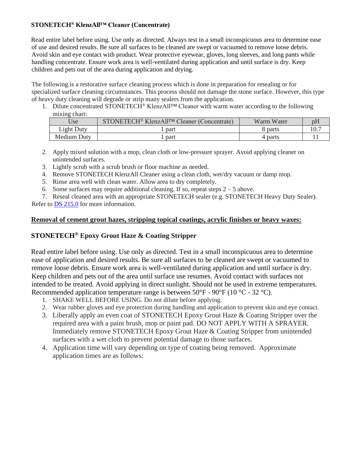# **STONETECH® KlenzAll™ Cleaner (Concentrate)**

Read entire label before using. Use only as directed. Always test in a small inconspicuous area to determine ease of use and desired results. Be sure all surfaces to be cleaned are swept or vacuumed to remove loose debris. Avoid skin and eye contact with product. Wear protective eyewear, gloves, long sleeves, and long pants while handling concentrate. Ensure work area is well-ventilated during application and until surface is dry. Keep children and pets out of the area during application and drying.

The following is a restorative surface cleaning process which is done in preparation for resealing or for specialized surface cleaning circumstances. This process should not damage the stone surface. However, this type of heavy duty cleaning will degrade or strip many sealers from the application.

1. Dilute concentrated STONETECH® KlenzAll™ Cleaner with warm water according to the following mixing chart:

| Use         | STONETECH <sup>®</sup> KlenzAll <sup>TM</sup> Cleaner (Concentrate) | Warm Water | D <sub>1</sub> |
|-------------|---------------------------------------------------------------------|------------|----------------|
| Light Duty  | part                                                                | 8 parts    |                |
| Medium Duty | part                                                                | 4 parts    |                |

- 2. Apply mixed solution with a mop, clean cloth or low-pressure sprayer. Avoid applying cleaner on unintended surfaces.
- 3. Lightly scrub with a scrub brush or floor machine as needed.
- 4. Remove STONETECH KlenzAll Cleaner using a clean cloth, wet/dry vacuum or damp mop.
- 5. Rinse area well with clean water. Allow area to dry completely.
- 6. Some surfaces may require additional cleaning. If so, repeat steps  $2 5$  above.

7. Reseal cleaned area with an appropriate STONETECH sealer (e.g. STONETECH Heavy Duty Sealer). Refer to [DS 215.0](https://cdn.laticrete.com/~/media/product-documents/product-data-sheets/ds-215.ashx) for more information.

# **Removal of cement grout hazes, stripping topical coatings, acrylic finishes or heavy waxes:**

# **STONETECH® Epoxy Grout Haze & Coating Stripper**

Read entire label before using. Use only as directed. Test in a small inconspicuous area to determine ease of application and desired results. Be sure all surfaces to be cleaned are swept or vacuumed to remove loose debris. Ensure work area is well-ventilated during application and until surface is dry. Keep children and pets out of the area until surface use resumes. Avoid contact with surfaces not intended to be treated. Avoid applying in direct sunlight. Should not be used in extreme temperatures. Recommended application temperature range is between  $50^{\circ}$ F -  $90^{\circ}$ F (10  $^{\circ}$ C - 32  $^{\circ}$ C).

- 1. SHAKE WELL BEFORE USING. Do not dilute before applying.
- 2. Wear rubber gloves and eye protection during handling and application to prevent skin and eye contact.
- 3. Liberally apply an even coat of STONETECH Epoxy Grout Haze & Coating Stripper over the required area with a paint brush, mop or paint pad. DO NOT APPLY WITH A SPRAYER. Immediately remove STONETECH Epoxy Grout Haze & Coating Stripper from unintended surfaces with a wet cloth to prevent potential damage to those surfaces.
- 4. Application time will vary depending on type of coating being removed. Approximate application times are as follows: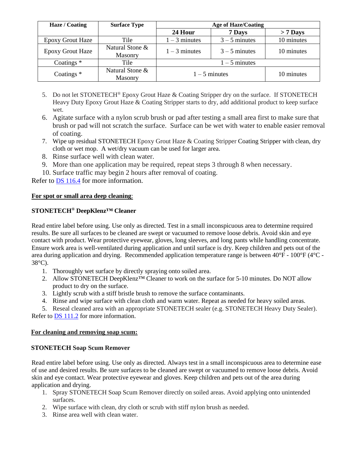| Haze / Coating          | <b>Surface Type</b>               | <b>Age of Haze/Coating</b> |                 |            |
|-------------------------|-----------------------------------|----------------------------|-----------------|------------|
|                         |                                   | 24 Hour                    | 7 Days          | $> 7$ Days |
| Epoxy Grout Haze        | Tile                              | $1 - 3$ minutes            | $3 - 5$ minutes | 10 minutes |
| <b>Epoxy Grout Haze</b> | Natural Stone &<br><b>Masonry</b> | $1 - 3$ minutes            | $3 - 5$ minutes | 10 minutes |
| Coatings $*$            | Tile                              | $1 - 5$ minutes            |                 |            |
| Coatings <sup>*</sup>   | Natural Stone &<br><b>Masonry</b> | $1 - 5$ minutes            |                 | 10 minutes |

- 5. Do not let STONETECH<sup>®</sup> Epoxy Grout Haze & Coating Stripper dry on the surface. If STONETECH Heavy Duty Epoxy Grout Haze & Coating Stripper starts to dry, add additional product to keep surface wet.
- 6. Agitate surface with a nylon scrub brush or pad after testing a small area first to make sure that brush or pad will not scratch the surface. Surface can be wet with water to enable easier removal of coating.
- 7. Wipe up residual STONETECH Epoxy Grout Haze & Coating Stripper Coating Stripper with clean, dry cloth or wet mop. A wet/dry vacuum can be used for larger area.
- 8. Rinse surface well with clean water.
- 9. More than one application may be required, repeat steps 3 through 8 when necessary.
- 10. Surface traffic may begin 2 hours after removal of coating.

Refer to [DS 116.4](https://cdn.laticrete.com/~/media/product-documents/product-data-sheets/ds1664_stonetech-epoxy-grout-haze-coating-stripper.ashx) for more information.

# **For spot or small area deep cleaning**:

# **STONETECH® DeepKlenz™ Cleaner**

Read entire label before using. Use only as directed. Test in a small inconspicuous area to determine required results. Be sure all surfaces to be cleaned are swept or vacuumed to remove loose debris. Avoid skin and eye contact with product. Wear protective eyewear, gloves, long sleeves, and long pants while handling concentrate. Ensure work area is well-ventilated during application and until surface is dry. Keep children and pets out of the area during application and drying. Recommended application temperature range is between 40°F - 100°F (4°C - 38°C).

- 1. Thoroughly wet surface by directly spraying onto soiled area.
- 2. Allow STONETECH DeepKlenz™ Cleaner to work on the surface for 5-10 minutes. Do NOT allow product to dry on the surface.
- 3. Lightly scrub with a stiff bristle brush to remove the surface contaminants.
- 4. Rinse and wipe surface with clean cloth and warm water. Repeat as needed for heavy soiled areas.

5. Reseal cleaned area with an appropriate STONETECH sealer (e.g. STONETECH Heavy Duty Sealer). Refer to **DS** 111.2 for more information.

#### **For cleaning and removing soap scum:**

# **STONETECH Soap Scum Remover**

Read entire label before using. Use only as directed. Always test in a small inconspicuous area to determine ease of use and desired results. Be sure surfaces to be cleaned are swept or vacuumed to remove loose debris. Avoid skin and eye contact. Wear protective eyewear and gloves. Keep children and pets out of the area during application and drying.

- 1. Spray STONETECH Soap Scum Remover directly on soiled areas. Avoid applying onto unintended surfaces.
- 2. Wipe surface with clean, dry cloth or scrub with stiff nylon brush as needed.
- 3. Rinse area well with clean water.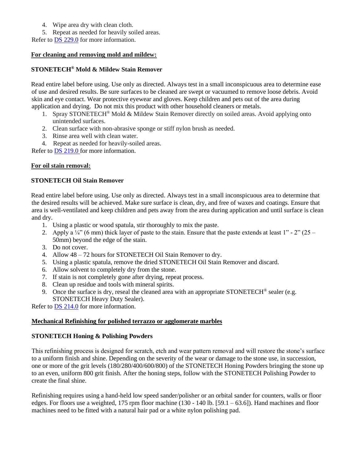- 4. Wipe area dry with clean cloth.
- 5. Repeat as needed for heavily soiled areas.

Refer to [DS 229.0](https://cdn.laticrete.com/~/media/product-documents/product-data-sheets/ds-229.ashx) for more information.

# **For cleaning and removing mold and mildew:**

# **STONETECH® Mold & Mildew Stain Remover**

Read entire label before using. Use only as directed. Always test in a small inconspicuous area to determine ease of use and desired results. Be sure surfaces to be cleaned are swept or vacuumed to remove loose debris. Avoid skin and eye contact. Wear protective eyewear and gloves. Keep children and pets out of the area during application and drying. Do not mix this product with other household cleaners or metals.

- 1. Spray STONETECH® Mold & Mildew Stain Remover directly on soiled areas. Avoid applying onto unintended surfaces.
- 2. Clean surface with non-abrasive sponge or stiff nylon brush as needed.
- 3. Rinse area well with clean water.

4. Repeat as needed for heavily-soiled areas.

Refer to [DS 219.0](https://cdn.laticrete.com/~/media/product-documents/product-data-sheets/ds-219.ashx) for more information.

# **For oil stain removal:**

# **STONETECH Oil Stain Remover**

Read entire label before using. Use only as directed. Always test in a small inconspicuous area to determine that the desired results will be achieved. Make sure surface is clean, dry, and free of waxes and coatings. Ensure that area is well-ventilated and keep children and pets away from the area during application and until surface is clean and dry.

- 1. Using a plastic or wood spatula, stir thoroughly to mix the paste.
- 2. Apply a  $\frac{1}{4}$  (6 mm) thick layer of paste to the stain. Ensure that the paste extends at least 1" 2" (25 50mm) beyond the edge of the stain.
- 3. Do not cover.
- 4. Allow 48 72 hours for STONETECH Oil Stain Remover to dry.
- 5. Using a plastic spatula, remove the dried STONETECH Oil Stain Remover and discard.
- 6. Allow solvent to completely dry from the stone.
- 7. If stain is not completely gone after drying, repeat process.
- 8. Clean up residue and tools with mineral spirits.
- 9. Once the surface is dry, reseal the cleaned area with an appropriate  $STONETECH^{\circ}$  sealer (e.g. STONETECH Heavy Duty Sealer).

Refer to [DS 214.0](https://cdn.laticrete.com/~/media/product-documents/product-data-sheets/ds-214.ashx) for more information.

#### **Mechanical Refinishing for polished terrazzo or agglomerate marbles**

#### **STONETECH Honing & Polishing Powders**

This refinishing process is designed for scratch, etch and wear pattern removal and will restore the stone's surface to a uniform finish and shine. Depending on the severity of the wear or damage to the stone use, in succession, one or more of the grit levels (180/280/400/600/800) of the STONETECH Honing Powders bringing the stone up to an even, uniform 800 grit finish. After the honing steps, follow with the STONETECH Polishing Powder to create the final shine.

Refinishing requires using a hand-held low speed sander/polisher or an orbital sander for counters, walls or floor edges. For floors use a weighted, 175 rpm floor machine (130 - 140 lb. [59.1 – 63.6]). Hand machines and floor machines need to be fitted with a natural hair pad or a white nylon polishing pad.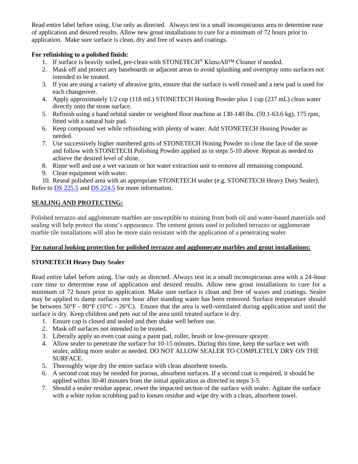Read entire label before using. Use only as directed. Always test in a small inconspicuous area to determine ease of application and desired results. Allow new grout installations to cure for a minimum of 72 hours prior to application. Make sure surface is clean, dry and free of waxes and coatings.

# **For refinishing to a polished finish:**

- 1. If surface is heavily soiled, pre-clean with STONETECH® KlenzAll™ Cleaner if needed.
- 2. Mask off and protect any baseboards or adjacent areas to avoid splashing and overspray onto surfaces not intended to be treated.
- 3. If you are using a variety of abrasive grits, ensure that the surface is well rinsed and a new pad is used for each changeover.
- 4. Apply approximately 1/2 cup (118 mL) STONETECH Honing Powder plus 1 cup (237 mL) clean water directly onto the stone surface.
- 5. Refinish using a hand orbital sander or weighted floor machine at 130-140 lbs. (59.1-63.6 kg), 175 rpm, fitted with a natural hair pad.
- 6. Keep compound wet while refinishing with plenty of water. Add STONETECH Honing Powder as needed.
- 7. Use successively higher numbered grits of STONETECH Honing Powder to close the face of the stone and follow with STONETECH Polishing Powder applied as in steps 5-10 above. Repeat as needed to achieve the desired level of shine.
- 8. Rinse well and use a wet vacuum or hot water extraction unit to remove all remaining compound.
- 9. Clean equipment with water.

10. Reseal polished area with an appropriate STONETECH sealer (e.g. STONETECH Heavy Duty Sealer). Refer to [DS 225.5](https://cdn.laticrete.com/~/media/product-documents/product-data-sheets/ds-2255.ashx) and [DS 224.5](https://cdn.laticrete.com/~/media/product-documents/product-data-sheets/ds-2245.ashx) for more information.

# **SEALING AND PROTECTING:**

Polished terrazzo and agglomerate marbles are susceptible to staining from both oil and water-based materials and sealing will help protect the stone's appearance. The cement grouts used in polished terrazzo or agglomerate marble tile installations will also be more stain resistant with the application of a penetrating sealer.

# **For natural looking protection for polished terrazzo and agglomerate marbles and grout installations:**

# **STONETECH Heavy Duty Sealer**

Read entire label before using. Use only as directed. Always test in a small inconspicuous area with a 24-hour cure time to determine ease of application and desired results. Allow new grout installations to cure for a minimum of 72 hours prior to application. Make sure surface is clean and free of waxes and coatings. Sealer may be applied to damp surfaces one hour after standing water has been removed. Surface temperature should be between 50°F - 80°F (10°C - 26°C). Ensure that the area is well-ventilated during application and until the surface is dry. Keep children and pets out of the area until treated surface is dry.

- 1. Ensure cap is closed and sealed and then shake well before use.
- 2. Mask off surfaces not intended to be treated.
- 3. Liberally apply an even coat using a paint pad, roller, brush or low-pressure sprayer.
- 4. Allow sealer to penetrate the surface for 10-15 minutes. During this time, keep the surface wet with sealer, adding more sealer as needed. DO NOT ALLOW SEALER TO COMPLETELY DRY ON THE SURFACE.
- 5. Thoroughly wipe dry the entire surface with clean absorbent towels.
- 6. A second coat may be needed for porous, absorbent surfaces. If a second coat is required, it should be applied within 30-40 minutes from the initial application as directed in steps 3-5.
- 7. Should a sealer residue appear, rewet the impacted section of the surface with sealer. Agitate the surface with a white nylon scrubbing pad to loosen residue and wipe dry with a clean, absorbent towel.